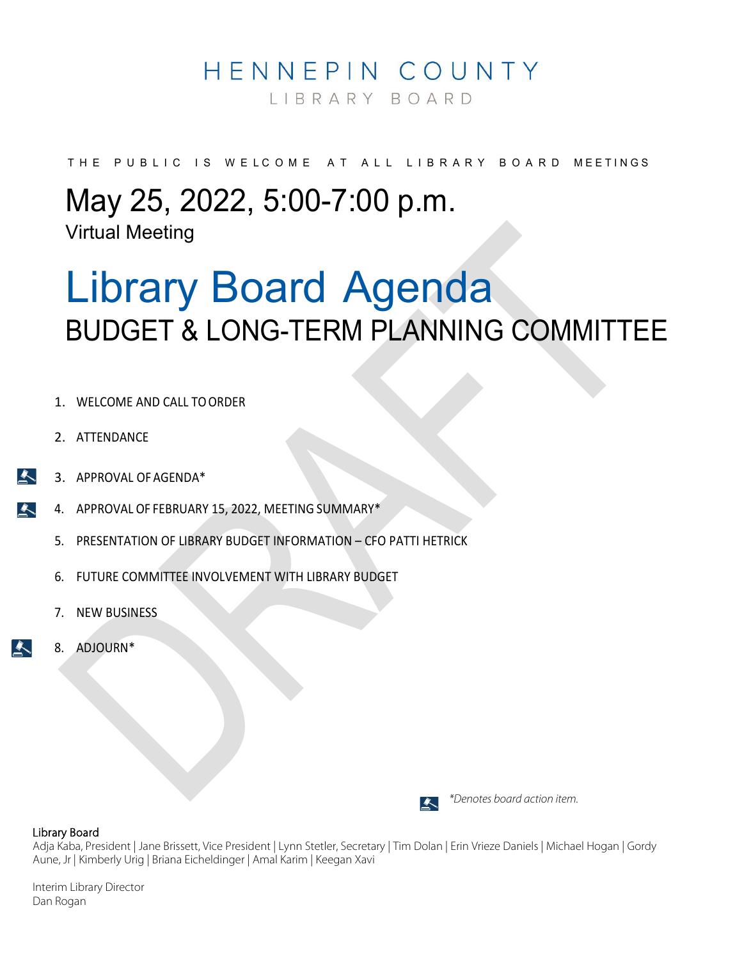## HENNEPIN COUNTY

LIBRARY BOARD

THE PUBLIC IS WELCOME AT ALL LIBRARY BOARD MEETINGS

## May 25, 2022, 5:00-7:00 p.m.

Virtual Meeting

# Library Board Agenda BUDGET & LONG-TERM PLANNING COMMITTEE

- 1. WELCOME AND CALL TO ORDER
- 2. ATTENDANCE
- 3. APPROVAL OFAGENDA\*
- 4. APPROVAL OF FEBRUARY 15, 2022, MEETING SUMMARY\*  $\blacktriangle$ 
	- 5. PRESENTATION OF LIBRARY BUDGET INFORMATION CFO PATTI HETRICK
	- 6. FUTURE COMMITTEE INVOLVEMENT WITH LIBRARY BUDGET
	- 7. NEW BUSINESS
	- 8. ADJOURN\*

 $\blacktriangle$ 



 *\*Denotes board action item.*

#### Library Board

Adja Kaba, President | Jane Brissett, Vice President | Lynn Stetler, Secretary | Tim Dolan | Erin Vrieze Daniels | Michael Hogan | Gordy Aune, Jr | Kimberly Urig | Briana Eicheldinger | Amal Karim | Keegan Xavi

Interim Library Director Dan Rogan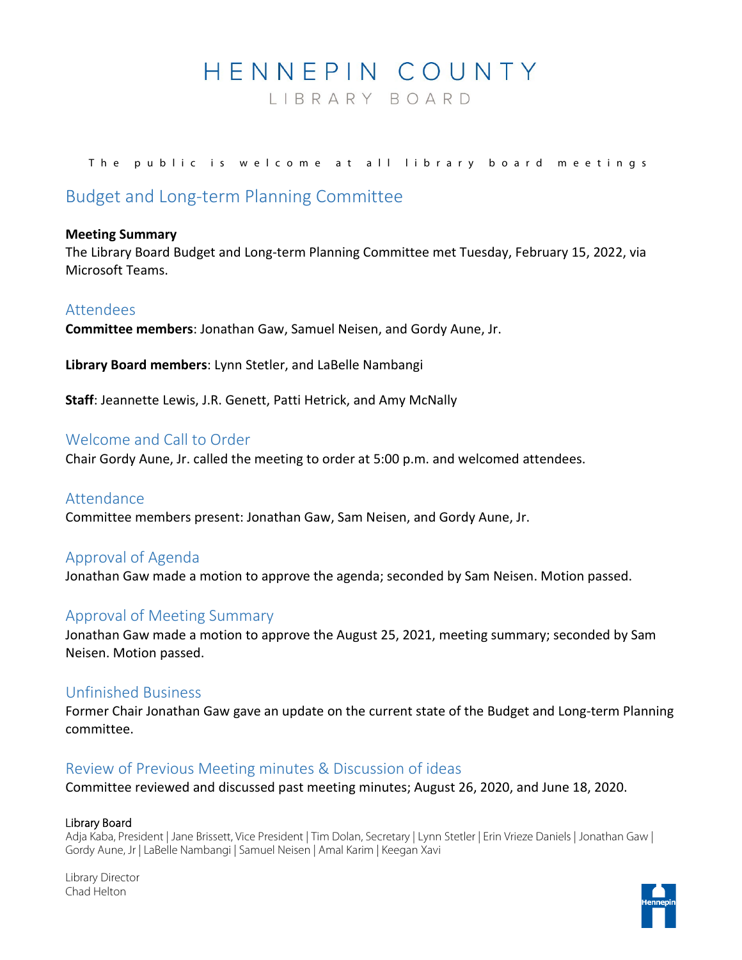## HENNEPIN COUNTY

LIBRARY BOARD

#### The public is welcome at all library board meetings

#### Budget and Long-term Planning Committee

#### **Meeting Summary**

The Library Board Budget and Long-term Planning Committee met Tuesday, February 15, 2022, via Microsoft Teams.

#### Attendees

**Committee members**: Jonathan Gaw, Samuel Neisen, and Gordy Aune, Jr.

**Library Board members**: Lynn Stetler, and LaBelle Nambangi

**Staff**: Jeannette Lewis, J.R. Genett, Patti Hetrick, and Amy McNally

#### Welcome and Call to Order

Chair Gordy Aune, Jr. called the meeting to order at 5:00 p.m. and welcomed attendees.

#### Attendance

Committee members present: Jonathan Gaw, Sam Neisen, and Gordy Aune, Jr.

#### Approval of Agenda

Jonathan Gaw made a motion to approve the agenda; seconded by Sam Neisen. Motion passed.

#### Approval of Meeting Summary

Jonathan Gaw made a motion to approve the August 25, 2021, meeting summary; seconded by Sam Neisen. Motion passed.

#### Unfinished Business

Former Chair Jonathan Gaw gave an update on the current state of the Budget and Long-term Planning committee.

#### Review of Previous Meeting minutes & Discussion of ideas

Committee reviewed and discussed past meeting minutes; August 26, 2020, and June 18, 2020.

#### Library Board

Adja Kaba, President | Jane Brissett, Vice President | Tim Dolan, Secretary | Lynn Stetler | Erin Vrieze Daniels | Jonathan Gaw | Gordy Aune, Jr | LaBelle Nambangi | Samuel Neisen | Amal Karim | Keegan Xavi

Library Director Chad Helton